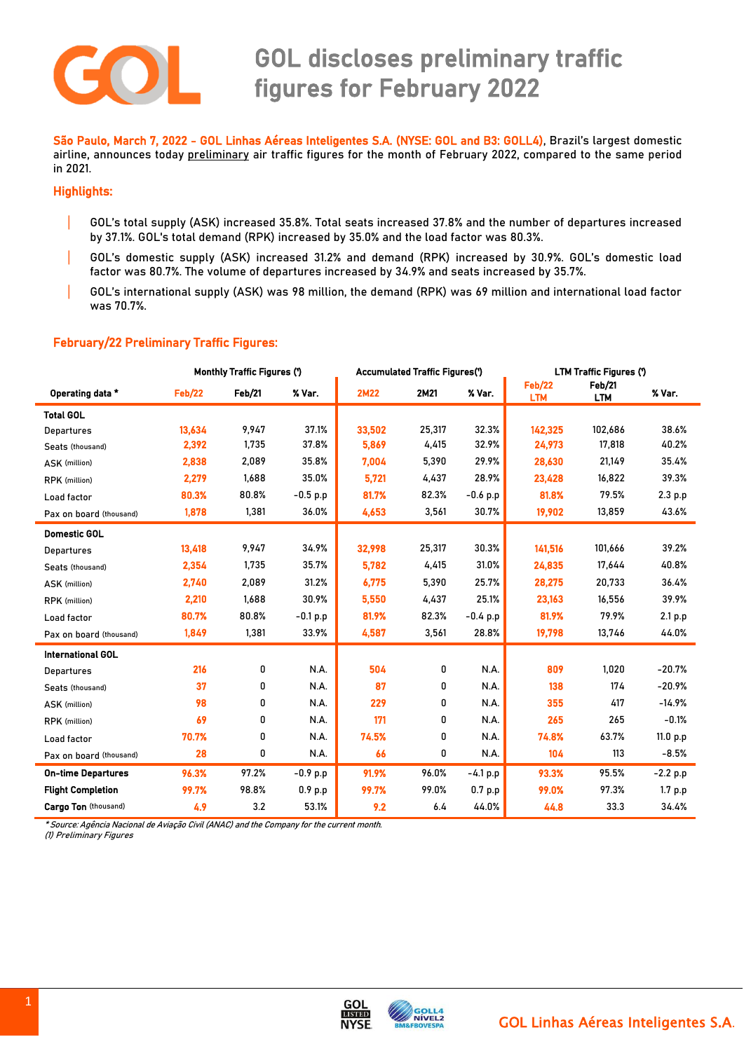

 São Paulo, March 7, 2022 - GOL Linhas Aéreas Inteligentes S.A. (NYSE: GOL and B3: GOLL4), Brazil's largest domestic airline, announces today preliminary air traffic figures for the month of February 2022, compared to the same period in 2021.

## Highlights:

- | GOL's total supply (ASK) increased 35.8%. Total seats increased 37.8% and the number of departures increased by 37.1%. GOL's total demand (RPK) increased by 35.0% and the load factor was 80.3%.
- | GOL's domestic supply (ASK) increased 31.2% and demand (RPK) increased by 30.9%. GOL's domestic load factor was 80.7%. The volume of departures increased by 34.9% and seats increased by 35.7%.
- | GOL's international supply (ASK) was 98 million, the demand (RPK) was 69 million and international load factor was 70.7%.

## February/22 Preliminary Traffic Figures:

|                             | <b>Monthly Traffic Figures (')</b> |        |            | <b>Accumulated Traffic Figures(')</b> |        |            | <b>LTM Traffic Figures (')</b> |                      |            |
|-----------------------------|------------------------------------|--------|------------|---------------------------------------|--------|------------|--------------------------------|----------------------|------------|
| Operating data *            | <b>Feb/22</b>                      | Feb/21 | % Var.     | <b>2M22</b>                           | 2M21   | % Var.     | <b>Feb/22</b><br><b>LTM</b>    | Feb/21<br><b>LTM</b> | % Var.     |
| <b>Total GOL</b>            |                                    |        |            |                                       |        |            |                                |                      |            |
| Departures                  | 13,634                             | 9,947  | 37.1%      | 33,502                                | 25,317 | 32.3%      | 142,325                        | 102,686              | 38.6%      |
| Seats (thousand)            | 2,392                              | 1,735  | 37.8%      | 5,869                                 | 4,415  | 32.9%      | 24,973                         | 17,818               | 40.2%      |
| ASK (million)               | 2,838                              | 2,089  | 35.8%      | 7,004                                 | 5,390  | 29.9%      | 28,630                         | 21,149               | 35.4%      |
| RPK (million)               | 2,279                              | 1,688  | 35.0%      | 5,721                                 | 4,437  | 28.9%      | 23,428                         | 16,822               | 39.3%      |
| Load factor                 | 80.3%                              | 80.8%  | $-0.5$ p.p | 81.7%                                 | 82.3%  | $-0.6 p.p$ | 81.8%                          | 79.5%                | 2.3 p.p    |
| Pax on board (thousand)     | 1,878                              | 1,381  | 36.0%      | 4,653                                 | 3,561  | 30.7%      | 19,902                         | 13,859               | 43.6%      |
| <b>Domestic GOL</b>         |                                    |        |            |                                       |        |            |                                |                      |            |
| Departures                  | 13,418                             | 9,947  | 34.9%      | 32,998                                | 25,317 | 30.3%      | 141,516                        | 101,666              | 39.2%      |
| Seats (thousand)            | 2,354                              | 1.735  | 35.7%      | 5.782                                 | 4,415  | 31.0%      | 24,835                         | 17,644               | 40.8%      |
| ASK (million)               | 2,740                              | 2,089  | 31.2%      | 6,775                                 | 5,390  | 25.7%      | 28,275                         | 20,733               | 36.4%      |
| <b>RPK</b> (million)        | 2,210                              | 1,688  | 30.9%      | 5,550                                 | 4,437  | 25.1%      | 23,163                         | 16,556               | 39.9%      |
| Load factor                 | 80.7%                              | 80.8%  | $-0.1 p.p$ | 81.9%                                 | 82.3%  | $-0.4 p.p$ | 81.9%                          | 79.9%                | 2.1 p.p    |
| Pax on board (thousand)     | 1,849                              | 1,381  | 33.9%      | 4,587                                 | 3,561  | 28.8%      | 19,798                         | 13,746               | 44.0%      |
| <b>International GOL</b>    |                                    |        |            |                                       |        |            |                                |                      |            |
| Departures                  | 216                                | 0      | N.A.       | 504                                   | 0      | N.A.       | 809                            | 1.020                | $-20.7%$   |
| Seats (thousand)            | 37                                 | 0      | N.A.       | 87                                    | 0      | N.A.       | 138                            | 174                  | $-20.9%$   |
| ASK (million)               | 98                                 | 0      | N.A.       | 229                                   | 0      | N.A.       | 355                            | 417                  | $-14.9%$   |
| <b>RPK</b> (million)        | 69                                 | 0      | N.A.       | 171                                   | 0      | N.A.       | 265                            | 265                  | $-0.1%$    |
| Load factor                 | 70.7%                              | 0      | N.A.       | 74.5%                                 | 0      | N.A.       | 74.8%                          | 63.7%                | 11.0 p.p   |
| Pax on board (thousand)     | 28                                 | 0      | N.A.       | 66                                    | 0      | N.A.       | 104                            | 113                  | $-8.5%$    |
| <b>On-time Departures</b>   | 96.3%                              | 97.2%  | $-0.9$ p.p | 91.9%                                 | 96.0%  | $-4.1 p.p$ | 93.3%                          | 95.5%                | $-2.2 p.p$ |
| <b>Flight Completion</b>    | 99.7%                              | 98.8%  | 0.9 p.p    | 99.7%                                 | 99.0%  | 0.7 p.p    | 99.0%                          | 97.3%                | 1.7 p.p    |
| <b>Cargo Ton (thousand)</b> | 4.9                                | 3.2    | 53.1%      | 9.2                                   | 6.4    | 44.0%      | 44.8                           | 33.3                 | 34.4%      |

\* Source: Agência Nacional de Aviação Civil (ANAC) and the Company for the current month.

(1) Preliminary Figures